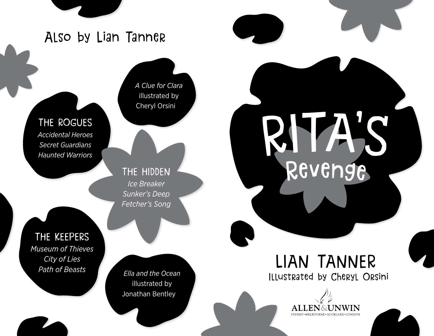## Also by Lian Tanner

*A Clue for Clara* illustrated by Cheryl Orsini

THE ROGUES *Accidental Heroes*

*Secret Guardians Haunted Warriors*

> THE HIDDEN *Ice Breaker Sunker's Deep Fetcher's Song*

THE KEEPERS *Museum of Thieves City of Lies*

*Ella and the Ocean* illustrated by Jonathan Bentley

## *Path of Beasts* **LIAN TANNER** Illustrated by Cheryl Orsini

Revenge

RITA'S



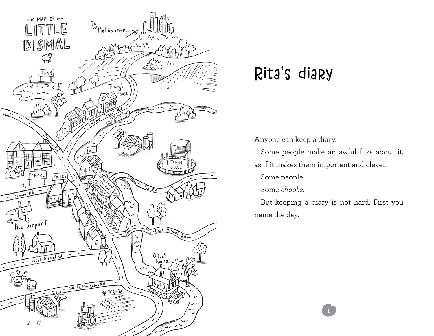

# Rita's diary

Anyone can keep a diary.

Some people make an awful fuss about it, as if it makes them important and clever.

Some people.

Some *chooks.*

But keeping a diary is not hard. First you name the day.

1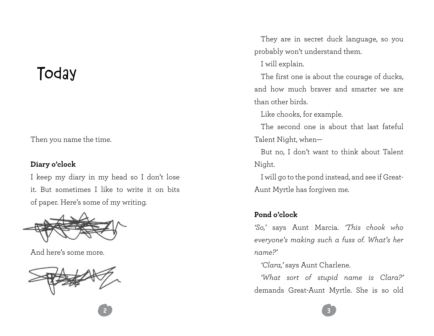# **Today**

Then you name the time.

### **Diary o'clock**

I keep my diary in my head so I don't lose it. But sometimes I like to write it on bits of paper. Here's some of my writing.



And here's some more.



They are in secret duck language, so you probably won't understand them.

I will explain.

The first one is about the courage of ducks. and how much braver and smarter we are than other birds.

Like chooks, for example.

The second one is about that last fateful Talent Night, when—

But no, I don't want to think about Talent Night.

I will go to the pond instead, and see if Great-Aunt Myrtle has forgiven me.

### **Pond o'clock**

2 de agosto: Alexandro Alexandro Alexandro Alexandro Alexandro Alexandro Alexandro Alexandro Alexandro Alexand

*'So,'* says Aunt Marcia. *'This chook who everyone's making such a fuss of. What's her name?'*

*'Clara,'* says Aunt Charlene.

*'What sort of stupid name is Clara?'*  demands Great-Aunt Myrtle. She is so old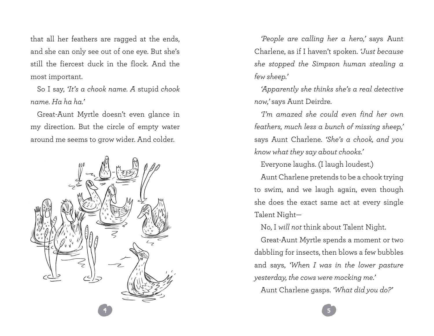that all her feathers are ragged at the ends, and she can only see out of one eye. But she's still the fiercest duck in the flock. And the most important.

So I say, *'It's a chook name. A* stupid *chook name. Ha ha ha.'* 

Great-Aunt Myrtle doesn't even glance in my direction. But the circle of empty water around me seems to grow wider. And colder.



*'People are calling her a hero,'* says Aunt Charlene, as if I haven't spoken. *'Just because she stopped the Simpson human stealing a few sheep.'*

*'Apparently she thinks she's a real detective now,'* says Aunt Deirdre.

*'I'm amazed she could even find her own feathers, much less a bunch of missing sheep,'*  says Aunt Charlene. *'She's a chook, and you know what they say about chooks.'*

Everyone laughs. (I laugh loudest.)

Aunt Charlene pretends to be a chook trying to swim, and we laugh again, even though she does the exact same act at every single Talent Night—

No, I *will not* think about Talent Night.

Great-Aunt Myrtle spends a moment or two dabbling for insects, then blows a few bubbles and says, *'When I was in the lower pasture yesterday, the cows were mocking me.'*

Aunt Charlene gasps. *'What did you do?'*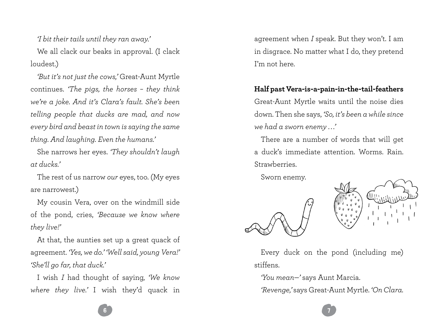*'I bit their tails until they ran away.'*

We all clack our beaks in approval. (I clack loudest.)

*'But it's not just the cows,'* Great-Aunt Myrtle continues. *'The pigs, the horses – they think we're a joke. And it's Clara's fault. She's been telling people that ducks are mad, and now every bird and beast in town is saying the same thing. And laughing. Even the humans.'*

She narrows her eyes. *'They shouldn't laugh at ducks.'* 

The rest of us narrow *our* eyes, too. (My eyes are narrowest.)

My cousin Vera, over on the windmill side of the pond, cries, *'Because we know where they live!'*

At that, the aunties set up a great quack of agreement. *'Yes, we do.' 'Well said, young Vera!' 'She'll go far, that duck.'*

I wish *I* had thought of saying, *'We know where they live.'* I wish they'd quack in

agreement when *I* speak. But they won't. I am in disgrace. No matter what I do, they pretend I'm not here.

#### **Half past Vera-is-a-pain-in-the-tail-feathers**

Great-Aunt Myrtle waits until the noise dies down. Then she says, *'So, it's been a while since we had a sworn enemy . . .'*

There are a number of words that will get a duck's immediate attention. Worms. Rain. **Strawherries** 

Sworn enemy.





Every duck on the pond (including me) stiffens.

*'You mean—'* says Aunt Marcia.

*'Revenge,'* says Great-Aunt Myrtle. *'On Clara.* 

6 7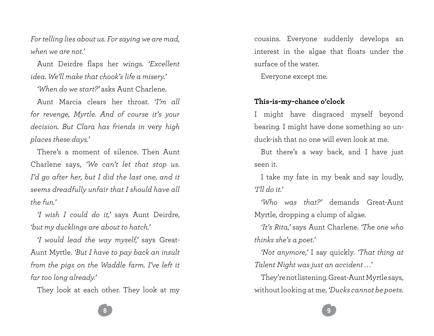*For telling lies about us. For saying we are mad, when we are not.'*

Aunt Deirdre flaps her wings. *'Excellent idea. We'll make that chook's life a misery.'*

*'When do we start?'* asks Aunt Charlene.

Aunt Marcia clears her throat. *'I'm all for revenge, Myrtle. And of course it's your decision. But Clara has friends in* very *high places these days.'*

There's a moment of silence. Then Aunt Charlene says, *'We can't let that stop us. I'd go after her, but I did the last one, and it seems dreadfully unfair that I should have all the fun.'*

*'I wish I could do it,'* says Aunt Deirdre, *'but my ducklings are about to hatch.'*

*'I would lead the way myself,'* says Great-Aunt Myrtle. *'But I have to pay back an insult from the pigs on the Waddle farm. I've left it far too long already.'*

They look at each other. They look at my

cousins. Everyone suddenly develops an interest in the algae that floats under the surface of the water.

Everyone except me.

#### **This-is-my-chance o'clock**

I might have disgraced myself beyond bearing. I might have done something so unduck-ish that no one will even look at me.

But there's a way back, and I have just seen it.

I take my fate in my beak and say loudly, *'I'll do it.'*

*'Who was that?'* demands Great-Aunt Myrtle, dropping a clump of algae.

*'It's Rita,'* says Aunt Charlene. *'The one who thinks she's a poet.'*

*'Not anymore,'* I say quickly. *'That thing at Talent Night was just an accident . . .'*

They're not listening. Great-Aunt Myrtle says, without looking at me, *'Ducks cannot be poets.*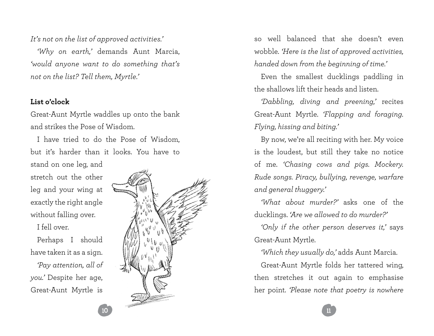*It's not on the list of approved activities.'*

*'Why on earth,'* demands Aunt Marcia, *'would anyone want to do something that's not on the list? Tell them, Myrtle.'* 

#### **List o'clock**

Great-Aunt Myrtle waddles up onto the bank and strikes the Pose of Wisdom.

I have tried to do the Pose of Wisdom, but it's harder than it looks. You have to

stand on one leg, and stretch out the other leg and your wing at exactly the right angle without falling over.

I fell over.

Perhaps I should have taken it as a sign.

*'Pay attention, all of you.'* Despite her age, Great-Aunt Myrtle is



so well balanced that she doesn't even wobble. *'Here is the list of approved activities, handed down from the beginning of time.'*

Even the smallest ducklings paddling in the shallows lift their heads and listen.

*'Dabbling, diving and preening,'* recites Great-Aunt Myrtle. *'Flapping and foraging. Flying, hissing and biting.'*

By now, we're all reciting with her. My voice is the loudest, but still they take no notice of me. *'Chasing cows and pigs. Mockery. Rude songs. Piracy, bullying, revenge, warfare and general thuggery.'*

*'What about murder?'* asks one of the ducklings. *'Are we allowed to do murder?'*

*'Only if the other person deserves it,'* says Great-Aunt Myrtle.

*'Which they usually do,'* adds Aunt Marcia.

Great-Aunt Myrtle folds her tattered wing, then stretches it out again to emphasise her point. *'Please note that poetry is nowhere*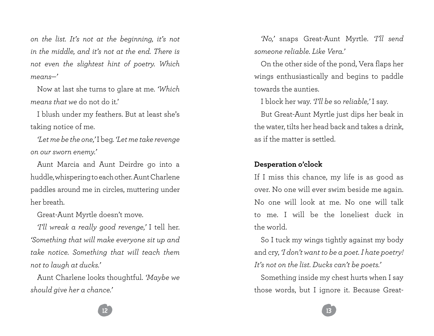*on the list. It's not at the beginning, it's not in the middle, and it's not at the end. There is not even the slightest hint of poetry. Which means—'* 

Now at last she turns to glare at me. *'Which means that we* do not do it.'

I blush under my feathers. But at least she's taking notice of me.

*'Let me be the one,'* I beg. *'Let me take revenge on our sworn enemy.'*

Aunt Marcia and Aunt Deirdre go into a huddle, whispering to each other. Aunt Charlene paddles around me in circles, muttering under her breath.

Great-Aunt Myrtle doesn't move.

*'I'll wreak a really good revenge,'* I tell her. *'Something that will make everyone sit up and take notice. Something that will teach them not to laugh at ducks.'*

Aunt Charlene looks thoughtful. *'Maybe we should give her a chance.'*

*'No,'* snaps Great-Aunt Myrtle. *'I'll send someone reliable. Like Vera.'*

On the other side of the pond, Vera flaps her wings enthusiastically and begins to paddle towards the aunties.

I block her way. *'I'll be* so *reliable,'* I say.

But Great-Aunt Myrtle just dips her beak in the water, tilts her head back and takes a drink, as if the matter is settled.

#### **Desperation o'clock**

If I miss this chance, my life is as good as over. No one will ever swim beside me again. No one will look at me. No one will talk to me. I will be the loneliest duck in the world.

So I tuck my wings tightly against my body and cry, *'I don't want to be a poet. I hate poetry! It's not on the list. Ducks can't be poets.'*

Something inside my chest hurts when I say those words, but I ignore it. Because Great-

 $12$  ) and  $13$